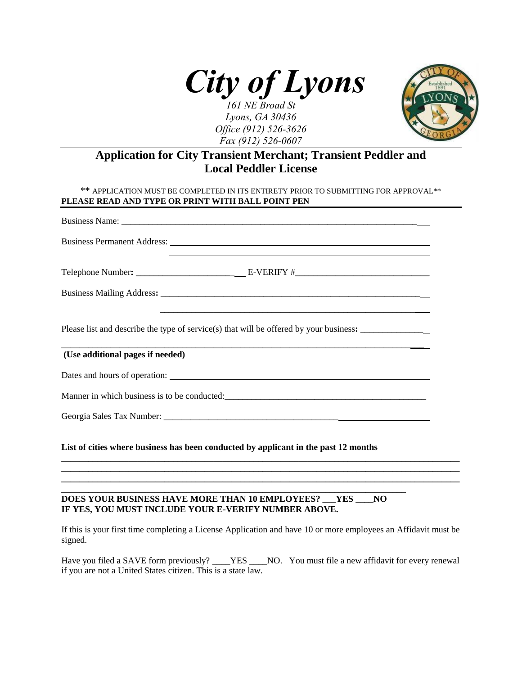

*Lyons, GA 30436 Office (912) 526-3626 Fax (912) 526-0607*



# **Application for City Transient Merchant; Transient Peddler and Local Peddler License**

| ,我们也不会有什么。""我们的人,我们也不会有什么?""我们的人,我们也不会有什么?""我们的人,我们也不会有什么?""我们的人,我们也不会有什么?""我们的人           |  |
|--------------------------------------------------------------------------------------------|--|
|                                                                                            |  |
| Please list and describe the type of service(s) that will be offered by your business:     |  |
| <u> 1989 - Jan Barat, margaret al II-lea (b. 1989)</u><br>(Use additional pages if needed) |  |
|                                                                                            |  |
|                                                                                            |  |
|                                                                                            |  |
| List of cities where business has been conducted by applicant in the past 12 months        |  |

#### **\_\_\_\_\_\_\_\_\_\_\_\_\_\_\_\_\_\_\_\_\_\_\_\_\_\_\_\_\_\_\_\_\_\_\_\_\_\_\_\_\_\_\_\_\_\_\_\_\_\_\_\_\_\_\_\_\_\_\_\_\_\_\_\_\_\_\_\_\_\_\_\_\_\_\_\_\_ DOES YOUR BUSINESS HAVE MORE THAN 10 EMPLOYEES? \_\_\_YES \_\_\_\_NO IF YES, YOU MUST INCLUDE YOUR E-VERIFY NUMBER ABOVE.**

If this is your first time completing a License Application and have 10 or more employees an Affidavit must be signed.

**\_\_\_\_\_\_\_\_\_\_\_\_\_\_\_\_\_\_\_\_\_\_\_\_\_\_\_\_\_\_\_\_\_\_\_\_\_\_\_\_\_\_\_\_\_\_\_\_\_\_\_\_\_\_\_\_\_\_\_\_\_\_\_\_\_\_\_\_\_\_\_\_\_\_\_\_\_\_\_\_\_\_\_\_\_\_\_\_\_ \_\_\_\_\_\_\_\_\_\_\_\_\_\_\_\_\_\_\_\_\_\_\_\_\_\_\_\_\_\_\_\_\_\_\_\_\_\_\_\_\_\_\_\_\_\_\_\_\_\_\_\_\_\_\_\_\_\_\_\_\_\_\_\_\_\_\_\_\_\_\_\_\_\_\_\_\_\_\_\_\_\_\_\_\_\_\_\_\_ \_\_\_\_\_\_\_\_\_\_\_\_\_\_\_\_\_\_\_\_\_\_\_\_\_\_\_\_\_\_\_\_\_\_\_\_\_\_\_\_\_\_\_\_\_\_\_\_\_\_\_\_\_\_\_\_\_\_\_\_\_\_\_\_\_\_\_\_\_\_\_\_\_\_\_\_\_\_\_\_\_\_\_\_\_\_\_\_\_**

Have you filed a SAVE form previously? \_\_\_\_YES \_\_\_\_NO. You must file a new affidavit for every renewal if you are not a United States citizen. This is a state law.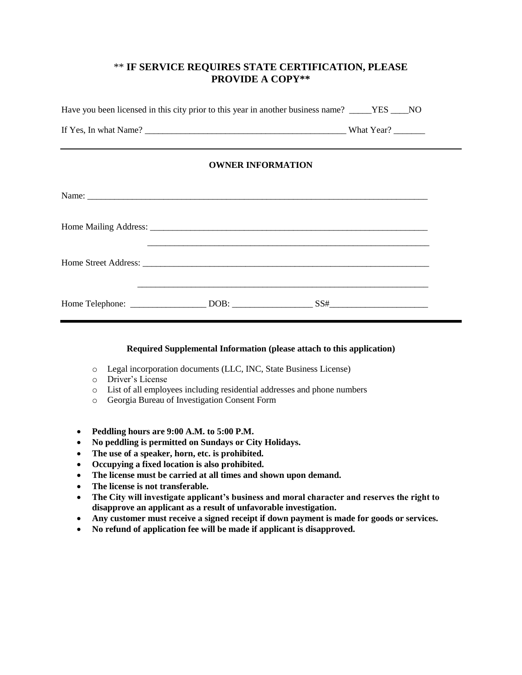# \*\* **IF SERVICE REQUIRES STATE CERTIFICATION, PLEASE PROVIDE A COPY\*\***

| Have you been licensed in this city prior to this year in another business name? _____YES ____NO |  |  |  |
|--------------------------------------------------------------------------------------------------|--|--|--|
|                                                                                                  |  |  |  |
| <b>OWNER INFORMATION</b>                                                                         |  |  |  |
|                                                                                                  |  |  |  |
|                                                                                                  |  |  |  |

| Home Street Address: |      |     |  |
|----------------------|------|-----|--|
|                      |      |     |  |
|                      |      |     |  |
| Home Telephone:      | DOB: | SS# |  |

#### **Required Supplemental Information (please attach to this application)**

- o Legal incorporation documents (LLC, INC, State Business License)
- o Driver's License
- o List of all employees including residential addresses and phone numbers
- o Georgia Bureau of Investigation Consent Form
- **Peddling hours are 9:00 A.M. to 5:00 P.M.**
- **No peddling is permitted on Sundays or City Holidays.**
- **The use of a speaker, horn, etc. is prohibited.**
- **Occupying a fixed location is also prohibited.**
- **The license must be carried at all times and shown upon demand.**
- **The license is not transferable.**
- **The City will investigate applicant's business and moral character and reserves the right to disapprove an applicant as a result of unfavorable investigation.**
- **Any customer must receive a signed receipt if down payment is made for goods or services.**
- **No refund of application fee will be made if applicant is disapproved.**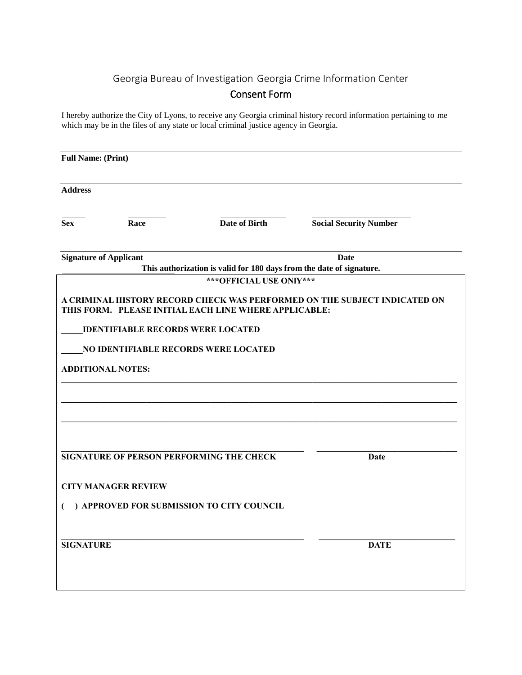# Georgia Bureau of Investigation Georgia Crime Information Center

# Consent Form

I hereby authorize the City of Lyons, to receive any Georgia criminal history record information pertaining to me which may be in the files of any state or local criminal justice agency in Georgia.

| <b>Full Name: (Print)</b> |                                          |                                                                      |                                                                           |
|---------------------------|------------------------------------------|----------------------------------------------------------------------|---------------------------------------------------------------------------|
| <b>Address</b>            |                                          |                                                                      |                                                                           |
| <b>Sex</b>                | Race                                     | <b>Date of Birth</b>                                                 | <b>Social Security Number</b>                                             |
|                           | <b>Signature of Applicant</b>            | This authorization is valid for 180 days from the date of signature. | Date                                                                      |
|                           |                                          | *** OFFICIAL USE ONlY***                                             |                                                                           |
|                           |                                          | THIS FORM. PLEASE INITIAL EACH LINE WHERE APPLICABLE:                | A CRIMINAL HISTORY RECORD CHECK WAS PERFORMED ON THE SUBJECT INDICATED ON |
|                           | <b>IDENTIFIABLE RECORDS WERE LOCATED</b> |                                                                      |                                                                           |
|                           |                                          | NO IDENTIFIABLE RECORDS WERE LOCATED                                 |                                                                           |
|                           | <b>ADDITIONAL NOTES:</b>                 |                                                                      |                                                                           |
|                           |                                          |                                                                      |                                                                           |
|                           |                                          |                                                                      |                                                                           |
|                           |                                          | SIGNATURE OF PERSON PERFORMING THE CHECK                             | Date                                                                      |
|                           | <b>CITY MANAGER REVIEW</b>               |                                                                      |                                                                           |
|                           |                                          | ) APPROVED FOR SUBMISSION TO CITY COUNCIL                            |                                                                           |
| <b>SIGNATURE</b>          |                                          |                                                                      | <b>DATE</b>                                                               |
|                           |                                          |                                                                      |                                                                           |